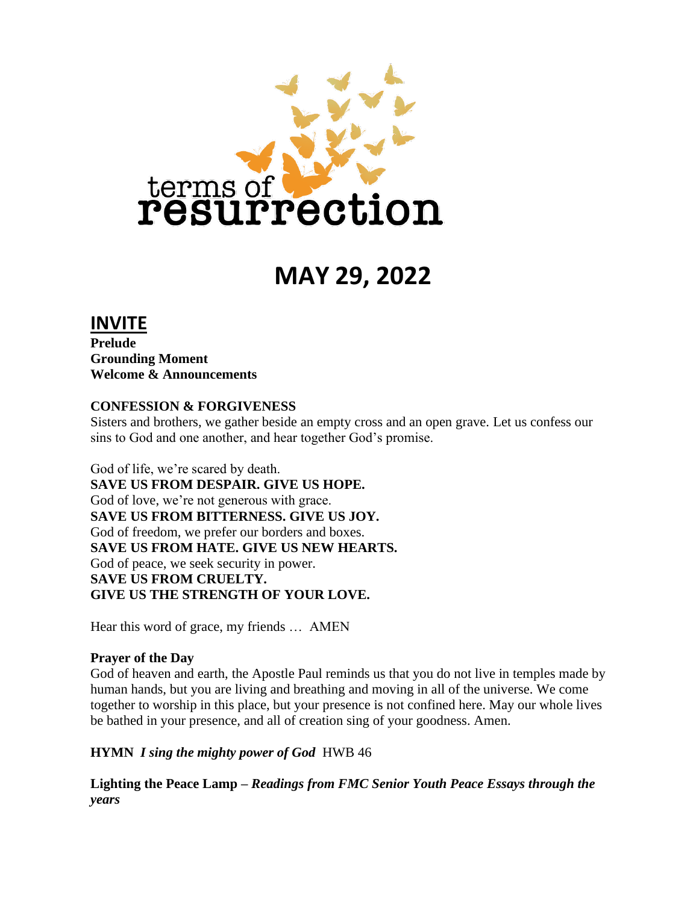

# **MAY 29, 2022**

### **INVITE**

**Prelude Grounding Moment Welcome & Announcements**

#### **CONFESSION & FORGIVENESS**

Sisters and brothers, we gather beside an empty cross and an open grave. Let us confess our sins to God and one another, and hear together God's promise.

God of life, we're scared by death. **SAVE US FROM DESPAIR. GIVE US HOPE.** God of love, we're not generous with grace. **SAVE US FROM BITTERNESS. GIVE US JOY.**  God of freedom, we prefer our borders and boxes. **SAVE US FROM HATE. GIVE US NEW HEARTS.** God of peace, we seek security in power. **SAVE US FROM CRUELTY. GIVE US THE STRENGTH OF YOUR LOVE.** 

Hear this word of grace, my friends … AMEN

#### **Prayer of the Day**

God of heaven and earth, the Apostle Paul reminds us that you do not live in temples made by human hands, but you are living and breathing and moving in all of the universe. We come together to worship in this place, but your presence is not confined here. May our whole lives be bathed in your presence, and all of creation sing of your goodness. Amen.

#### **HYMN** *I sing the mighty power of God*HWB 46

**Lighting the Peace Lamp –** *Readings from FMC Senior Youth Peace Essays through the years*